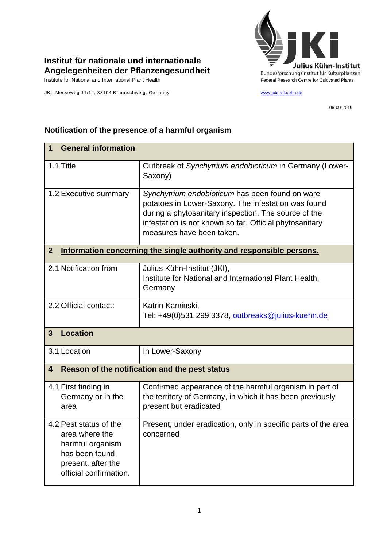

## **Institut für nationale und internationale Angelegenheiten der Pflanzengesundheit**

JKI, Messeweg 11/12, 38104 Braunschweig, Germany [www.julius-kuehn.de](http://www.julius-kuehn.de/)

06-09-2019

| <b>General information</b><br>$\mathbf 1$                                                                                      |                                                                                                                                                                                                                                                        |  |
|--------------------------------------------------------------------------------------------------------------------------------|--------------------------------------------------------------------------------------------------------------------------------------------------------------------------------------------------------------------------------------------------------|--|
| 1.1 Title                                                                                                                      | Outbreak of Synchytrium endobioticum in Germany (Lower-<br>Saxony)                                                                                                                                                                                     |  |
| 1.2 Executive summary                                                                                                          | Synchytrium endobioticum has been found on ware<br>potatoes in Lower-Saxony. The infestation was found<br>during a phytosanitary inspection. The source of the<br>infestation is not known so far. Official phytosanitary<br>measures have been taken. |  |
| $\mathbf{2}$<br>Information concerning the single authority and responsible persons.                                           |                                                                                                                                                                                                                                                        |  |
| 2.1 Notification from                                                                                                          | Julius Kühn-Institut (JKI),<br>Institute for National and International Plant Health,<br>Germany                                                                                                                                                       |  |
| 2.2 Official contact:                                                                                                          | Katrin Kaminski,<br>Tel: +49(0)531 299 3378, outbreaks@julius-kuehn.de                                                                                                                                                                                 |  |
| <b>Location</b><br>$\mathbf{3}$                                                                                                |                                                                                                                                                                                                                                                        |  |
| 3.1 Location                                                                                                                   | In Lower-Saxony                                                                                                                                                                                                                                        |  |
| Reason of the notification and the pest status<br>4                                                                            |                                                                                                                                                                                                                                                        |  |
| 4.1 First finding in<br>Germany or in the<br>area                                                                              | Confirmed appearance of the harmful organism in part of<br>the territory of Germany, in which it has been previously<br>present but eradicated                                                                                                         |  |
| 4.2 Pest status of the<br>area where the<br>harmful organism<br>has been found<br>present, after the<br>official confirmation. | Present, under eradication, only in specific parts of the area<br>concerned                                                                                                                                                                            |  |

## **Notification of the presence of a harmful organism**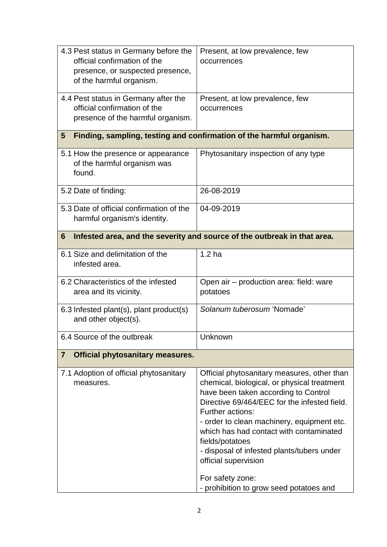| 4.3 Pest status in Germany before the<br>official confirmation of the<br>presence, or suspected presence,<br>of the harmful organism. | Present, at low prevalence, few<br>occurrences                                                                                                                                                                                                                                                                                                                                                                                                          |  |  |
|---------------------------------------------------------------------------------------------------------------------------------------|---------------------------------------------------------------------------------------------------------------------------------------------------------------------------------------------------------------------------------------------------------------------------------------------------------------------------------------------------------------------------------------------------------------------------------------------------------|--|--|
| 4.4 Pest status in Germany after the<br>official confirmation of the<br>presence of the harmful organism.                             | Present, at low prevalence, few<br>occurrences                                                                                                                                                                                                                                                                                                                                                                                                          |  |  |
| Finding, sampling, testing and confirmation of the harmful organism.<br>5                                                             |                                                                                                                                                                                                                                                                                                                                                                                                                                                         |  |  |
| 5.1 How the presence or appearance<br>of the harmful organism was<br>found.                                                           | Phytosanitary inspection of any type                                                                                                                                                                                                                                                                                                                                                                                                                    |  |  |
| 5.2 Date of finding:                                                                                                                  | 26-08-2019                                                                                                                                                                                                                                                                                                                                                                                                                                              |  |  |
| 5.3 Date of official confirmation of the<br>harmful organism's identity.                                                              | 04-09-2019                                                                                                                                                                                                                                                                                                                                                                                                                                              |  |  |
| Infested area, and the severity and source of the outbreak in that area.<br>6                                                         |                                                                                                                                                                                                                                                                                                                                                                                                                                                         |  |  |
| 6.1 Size and delimitation of the<br>infested area.                                                                                    | 1.2 <sub>ha</sub>                                                                                                                                                                                                                                                                                                                                                                                                                                       |  |  |
| 6.2 Characteristics of the infested<br>area and its vicinity.                                                                         | Open air – production area: field: ware<br>potatoes                                                                                                                                                                                                                                                                                                                                                                                                     |  |  |
| 6.3 Infested plant(s), plant product(s)<br>and other object(s).                                                                       | Solanum tuberosum 'Nomade'                                                                                                                                                                                                                                                                                                                                                                                                                              |  |  |
| 6.4 Source of the outbreak                                                                                                            | Unknown                                                                                                                                                                                                                                                                                                                                                                                                                                                 |  |  |
| <b>Official phytosanitary measures.</b><br>$\overline{7}$                                                                             |                                                                                                                                                                                                                                                                                                                                                                                                                                                         |  |  |
| 7.1 Adoption of official phytosanitary<br>measures.                                                                                   | Official phytosanitary measures, other than<br>chemical, biological, or physical treatment<br>have been taken according to Control<br>Directive 69/464/EEC for the infested field.<br>Further actions:<br>- order to clean machinery, equipment etc.<br>which has had contact with contaminated<br>fields/potatoes<br>- disposal of infested plants/tubers under<br>official supervision<br>For safety zone:<br>- prohibition to grow seed potatoes and |  |  |